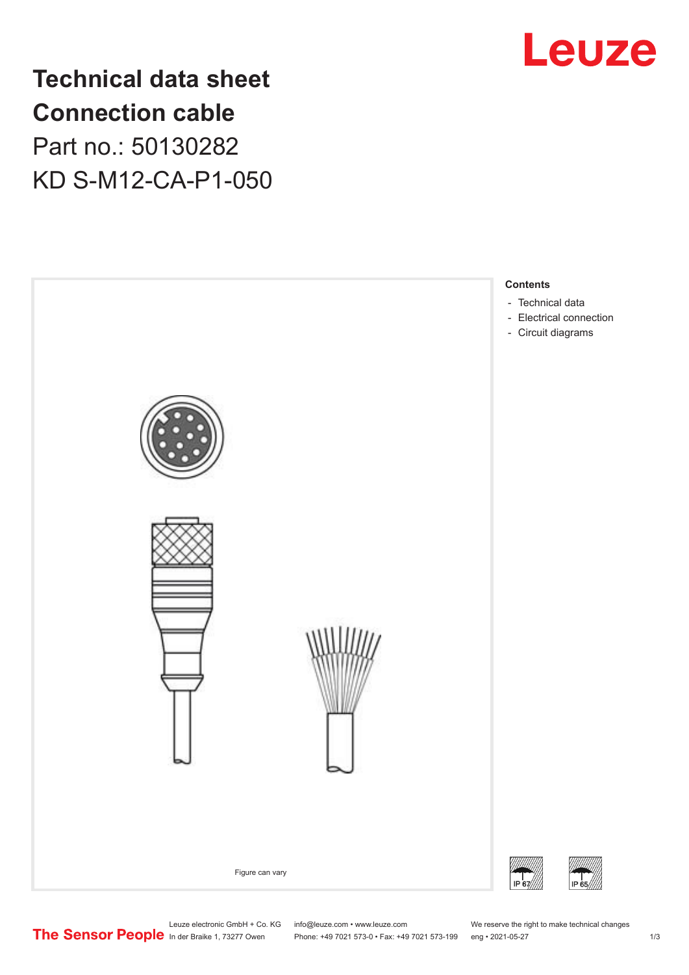

**Technical data sheet Connection cable** Part no.: 50130282 KD S-M12-CA-P1-050



Leuze electronic GmbH + Co. KG info@leuze.com • www.leuze.com We reserve the right to make technical changes<br>
The Sensor People in der Braike 1, 73277 Owen Phone: +49 7021 573-0 • Fax: +49 7021 573-199 eng • 2021-05-27

Phone: +49 7021 573-0 • Fax: +49 7021 573-199 eng • 2021-05-27 1 2021-05-27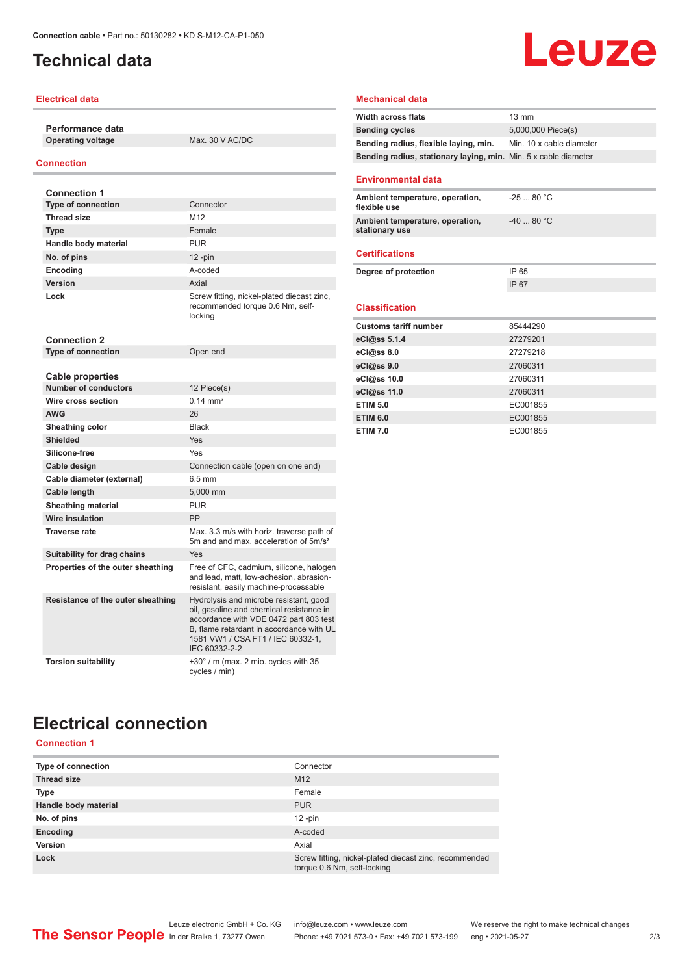## <span id="page-1-0"></span>**Technical data**

#### **Electrical data**

**Performance data Operating voltage** Max. 30 V AC/DC

#### **Connection**

| <b>Connection 1</b>                                    |                                                                                                                                                                                                                                |
|--------------------------------------------------------|--------------------------------------------------------------------------------------------------------------------------------------------------------------------------------------------------------------------------------|
| <b>Type of connection</b>                              | Connector                                                                                                                                                                                                                      |
| <b>Thread size</b>                                     | M <sub>12</sub>                                                                                                                                                                                                                |
| <b>Type</b>                                            | Female                                                                                                                                                                                                                         |
| Handle body material                                   | <b>PUR</b>                                                                                                                                                                                                                     |
| No. of pins                                            | $12$ -pin                                                                                                                                                                                                                      |
| Encoding                                               | A-coded                                                                                                                                                                                                                        |
| Version                                                | Axial                                                                                                                                                                                                                          |
| Lock                                                   | Screw fitting, nickel-plated diecast zinc,<br>recommended torque 0.6 Nm, self-<br>locking                                                                                                                                      |
| <b>Connection 2</b>                                    |                                                                                                                                                                                                                                |
| <b>Type of connection</b>                              | Open end                                                                                                                                                                                                                       |
|                                                        |                                                                                                                                                                                                                                |
| <b>Cable properties</b><br><b>Number of conductors</b> |                                                                                                                                                                                                                                |
| Wire cross section                                     | 12 Piece(s)<br>$0.14 \, \text{mm}^2$                                                                                                                                                                                           |
| <b>AWG</b>                                             | 26                                                                                                                                                                                                                             |
|                                                        | <b>Black</b>                                                                                                                                                                                                                   |
| Sheathing color<br><b>Shielded</b>                     | Yes                                                                                                                                                                                                                            |
| Silicone-free                                          | Yes                                                                                                                                                                                                                            |
|                                                        |                                                                                                                                                                                                                                |
| Cable design                                           | Connection cable (open on one end)<br>$6.5 \text{ mm}$                                                                                                                                                                         |
| Cable diameter (external)                              |                                                                                                                                                                                                                                |
| <b>Cable length</b>                                    | 5,000 mm<br><b>PUR</b>                                                                                                                                                                                                         |
| <b>Sheathing material</b><br>Wire insulation           | PP                                                                                                                                                                                                                             |
| <b>Traverse rate</b>                                   |                                                                                                                                                                                                                                |
|                                                        | Max. 3.3 m/s with horiz. traverse path of<br>5m and and max, acceleration of 5m/s <sup>2</sup>                                                                                                                                 |
| Suitability for drag chains                            | Yes                                                                                                                                                                                                                            |
| Properties of the outer sheathing                      | Free of CFC, cadmium, silicone, halogen<br>and lead, matt, low-adhesion, abrasion-<br>resistant, easily machine-processable                                                                                                    |
| Resistance of the outer sheathing                      | Hydrolysis and microbe resistant, good<br>oil, gasoline and chemical resistance in<br>accordance with VDE 0472 part 803 test<br>B. flame retardant in accordance with UL<br>1581 VW1 / CSA FT1 / IEC 60332-1,<br>IEC 60332-2-2 |
| <b>Torsion suitability</b>                             | $\pm 30^\circ$ / m (max. 2 mio. cycles with 35<br>cycles / min)                                                                                                                                                                |

#### **Mechanical data**

| <b>Width across flats</b>                                       | $13 \text{ mm}$          |
|-----------------------------------------------------------------|--------------------------|
| <b>Bending cycles</b>                                           | 5,000,000 Piece(s)       |
| Bending radius, flexible laying, min.                           | Min. 10 x cable diameter |
| Bending radius, stationary laying, min. Min. 5 x cable diameter |                          |
| <b>Environmental data</b>                                       |                          |
| Ambient temperature, operation,<br>flexible use                 | $-2580 °C$               |
| Ambient temperature, operation,<br>stationary use               | $-40$ 80 °C              |
| <b>Certifications</b>                                           |                          |
| Degree of protection                                            | IP 65                    |
|                                                                 | IP 67                    |
| <b>Classification</b>                                           |                          |
| <b>Customs tariff number</b>                                    | 85444290                 |
| eCl@ss 5.1.4                                                    | 27279201                 |
| eCl@ss 8.0                                                      | 27279218                 |
| eCl@ss 9.0                                                      | 27060311                 |
| eCl@ss 10.0                                                     | 27060311                 |
| eCl@ss 11.0                                                     | 27060311                 |
| <b>ETIM 5.0</b>                                                 | EC001855                 |
| <b>ETIM 6.0</b>                                                 | EC001855                 |
| <b>ETIM 7.0</b>                                                 | EC001855                 |

**Leuze** 

# **Electrical connection**

### **Connection 1**

| Type of connection   | Connector                                                                             |
|----------------------|---------------------------------------------------------------------------------------|
| <b>Thread size</b>   | M <sub>12</sub>                                                                       |
| Type                 | Female                                                                                |
| Handle body material | <b>PUR</b>                                                                            |
| No. of pins          | $12$ -pin                                                                             |
| Encoding             | A-coded                                                                               |
| Version              | Axial                                                                                 |
| Lock                 | Screw fitting, nickel-plated diecast zinc, recommended<br>torque 0.6 Nm, self-locking |